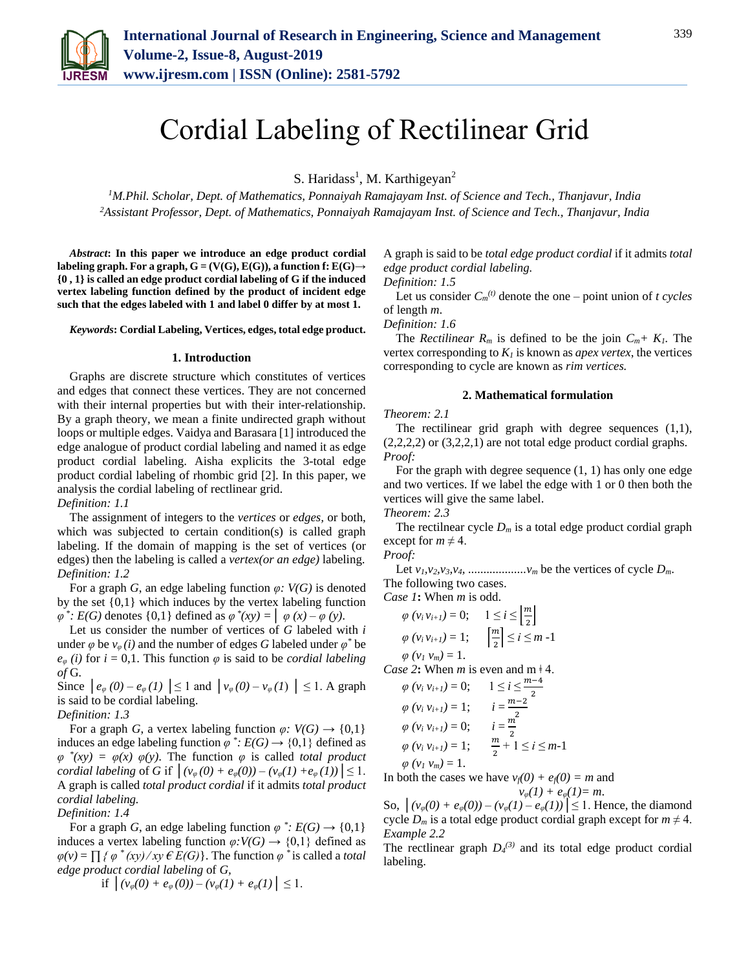

# Cordial Labeling of Rectilinear Grid

S. Haridass<sup>1</sup>, M. Karthigeyan<sup>2</sup>

*<sup>1</sup>M.Phil. Scholar, Dept. of Mathematics, Ponnaiyah Ramajayam Inst. of Science and Tech., Thanjavur, India 2Assistant Professor, Dept. of Mathematics, Ponnaiyah Ramajayam Inst. of Science and Tech., Thanjavur, India*

*Abstract***: In this paper we introduce an edge product cordial**  labeling graph. For a graph,  $G = (V(G), E(G))$ , a function f:  $E(G) \rightarrow$ **{0 , 1} is called an edge product cordial labeling of G if the induced vertex labeling function defined by the product of incident edge such that the edges labeled with 1 and label 0 differ by at most 1.**

*Keywords***: Cordial Labeling, Vertices, edges, total edge product.**

#### **1. Introduction**

Graphs are discrete structure which constitutes of vertices and edges that connect these vertices. They are not concerned with their internal properties but with their inter-relationship. By a graph theory, we mean a finite undirected graph without loops or multiple edges. Vaidya and Barasara [1] introduced the edge analogue of product cordial labeling and named it as edge product cordial labeling. Aisha explicits the 3-total edge product cordial labeling of rhombic grid [2]. In this paper, we analysis the cordial labeling of rectlinear grid. *Definition: 1.1* 

The assignment of integers to the *vertices* or *edges,* or both, which was subjected to certain condition(s) is called graph labeling. If the domain of mapping is the set of vertices (or edges) then the labeling is called a *vertex(or an edge)* labeling. *Definition: 1.2*

For a graph *G*, an edge labeling function *φ: V(G)* is denoted by the set {0,1} which induces by the vertex labeling function  $\varphi^*$ :  $E(G)$  denotes {0,1} defined as  $\varphi^*(xy) = | \varphi(x) - \varphi(y)|$ .

Let us consider the number of vertices of *G* labeled with *i* under  $\varphi$  be  $v_{\varphi}(i)$  and the number of edges *G* labeled under  $\varphi^*$  be  $e_{\varphi}$  *(i)* for  $i = 0,1$ . This function  $\varphi$  is said to be *cordial labeling of* G*.*

Since  $|e_{\varphi}(0) - e_{\varphi}(1)| \le 1$  and  $|v_{\varphi}(0) - v_{\varphi}(1)| \le 1$ . A graph is said to be cordial labeling.

*Definition: 1.3*

For a graph *G*, a vertex labeling function  $\varphi$ :  $V(G) \rightarrow \{0,1\}$ induces an edge labeling function  $\varphi^*$ :  $E(G) \rightarrow \{0,1\}$  defined as  $\varphi$ <sup>\*</sup> $(xy) = \varphi(x) \varphi(y)$ . The function  $\varphi$  is called *total product cordial labeling* of *G* if  $|(v_{\varphi}(0) + e_{\varphi}(0)) - (v_{\varphi}(1) + e_{\varphi}(1))| \leq 1$ . A graph is called *total product cordial* if it admits *total product cordial labeling.*

*Definition: 1.4*

For a graph *G*, an edge labeling function  $\varphi^*$ :  $E(G) \rightarrow \{0,1\}$ induces a vertex labeling function  $\varphi: V(G) \to \{0,1\}$  defined as  $\varphi(v) = \prod {\varphi^*(xy)} / xy \in E(G)$ . The function  $\varphi^*$  is called a *total edge product cordial labeling* of *G,*

if 
$$
|(v_{\varphi}(0) + e_{\varphi}(0)) - (v_{\varphi}(1) + e_{\varphi}(1))| \leq 1
$$
.

A graph is said to be *total edge product cordial* if it admits *total edge product cordial labeling.*

*Definition: 1.5*

Let us consider  $C_m^{(t)}$  denote the one – point union of *t cycles* of length *m*.

*Definition: 1.6*

The *Rectilinear*  $R_m$  is defined to be the join  $C_m + K_l$ . The vertex corresponding to  $K_l$  is known as *apex vertex*, the vertices corresponding to cycle are known as *rim vertices.*

# **2. Mathematical formulation**

#### *Theorem: 2.1*

The rectilinear grid graph with degree sequences (1,1),  $(2,2,2,2)$  or  $(3,2,2,1)$  are not total edge product cordial graphs. *Proof:*

For the graph with degree sequence (1, 1) has only one edge and two vertices. If we label the edge with 1 or 0 then both the vertices will give the same label.

*Theorem: 2.3*

The rectilnear cycle  $D_m$  is a total edge product cordial graph except for  $m \neq 4$ .

# *Proof:*

Let  $v_1, v_2, v_3, v_4, \ldots, u_m$  be the vertices of cycle  $D_m$ . The following two cases.

*Case 1***:** When *m* is odd.

$$
\varphi(v_i v_{i+1}) = 0; \quad 1 \le i \le \left\lfloor \frac{m}{2} \right\rfloor
$$

$$
\varphi(v_i v_{i+1}) = 1; \quad \left\lceil \frac{m}{2} \right\rceil \le i \le m - 1
$$

 $\varphi$   $(v_1 \, v_m) = 1$ .

*Case 2***:** When *m* is even and  $m \neq 4$ .

$$
\varphi(v_i v_{i+1}) = 0; \qquad 1 \le i \le \frac{m-4}{2}
$$
  
\n
$$
\varphi(v_i v_{i+1}) = 1; \qquad i = \frac{m-2}{2}
$$
  
\n
$$
\varphi(v_i v_{i+1}) = 0; \qquad i = \frac{m}{2}
$$
  
\n
$$
\varphi(v_i v_{i+1}) = 1; \qquad \frac{m}{2} + 1 \le i \le m-1
$$
  
\n
$$
\varphi(v_1 v_m) = 1.
$$

In both the cases we have  $v_f(0) + e_f(0) = m$  and

$$
v_{\varphi}(1) + e_{\varphi}(1) = m.
$$

So,  $| (v_{\varphi}(0) + e_{\varphi}(0)) - (v_{\varphi}(1) - e_{\varphi}(1)) | \le 1$ . Hence, the diamond cycle  $D_m$  is a total edge product cordial graph except for  $m \neq 4$ . *Example 2.2*

The rectlinear graph  $D_4^{(3)}$  and its total edge product cordial labeling.